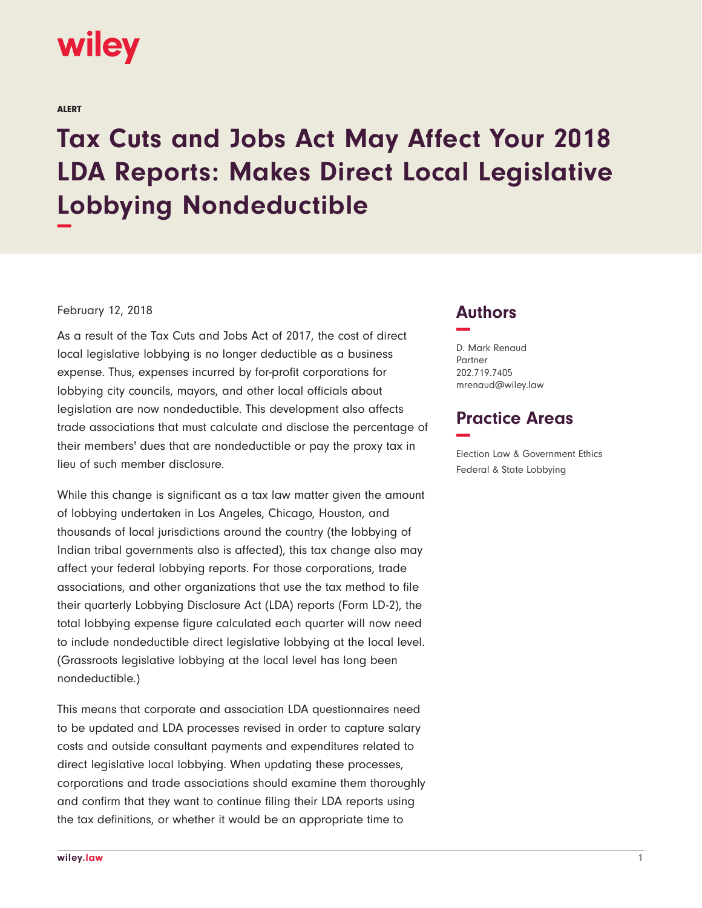

ALERT

## **Tax Cuts and Jobs Act May Affect Your 2018 LDA Reports: Makes Direct Local Legislative Lobbying Nondeductible −**

## February 12, 2018

As a result of the Tax Cuts and Jobs Act of 2017, the cost of direct local legislative lobbying is no longer deductible as a business expense. Thus, expenses incurred by for-profit corporations for lobbying city councils, mayors, and other local officials about legislation are now nondeductible. This development also affects trade associations that must calculate and disclose the percentage of their members' dues that are nondeductible or pay the proxy tax in lieu of such member disclosure.

While this change is significant as a tax law matter given the amount of lobbying undertaken in Los Angeles, Chicago, Houston, and thousands of local jurisdictions around the country (the lobbying of Indian tribal governments also is affected), this tax change also may affect your federal lobbying reports. For those corporations, trade associations, and other organizations that use the tax method to file their quarterly Lobbying Disclosure Act (LDA) reports (Form LD-2), the total lobbying expense figure calculated each quarter will now need to include nondeductible direct legislative lobbying at the local level. (Grassroots legislative lobbying at the local level has long been nondeductible.)

This means that corporate and association LDA questionnaires need to be updated and LDA processes revised in order to capture salary costs and outside consultant payments and expenditures related to direct legislative local lobbying. When updating these processes, corporations and trade associations should examine them thoroughly and confirm that they want to continue filing their LDA reports using the tax definitions, or whether it would be an appropriate time to

## **Authors −**

D. Mark Renaud Partner 202.719.7405 mrenaud@wiley.law

## **Practice Areas −**

Election Law & Government Ethics Federal & State Lobbying